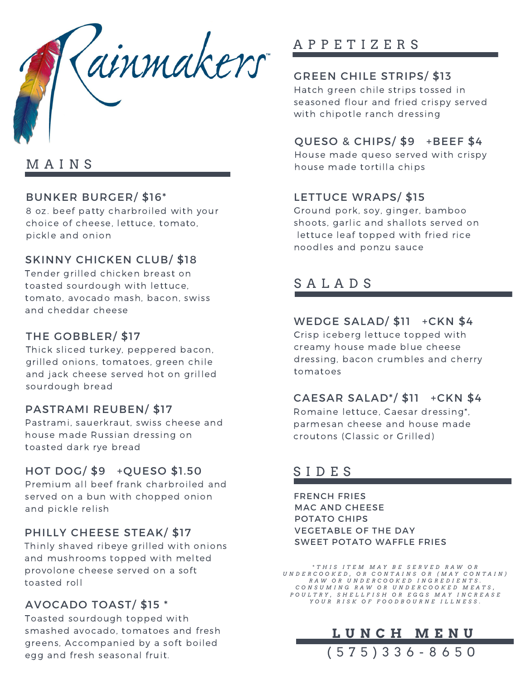

### M A I N S

#### BUNKER BURGER/ \$16\*

8 oz. beef patty charbroiled with your choice of cheese, lettuce, tomato, pickle and onion

#### SKINNY CHICKEN CLUB/ \$18

Tender grilled chicken breast on toasted sourdough with lettuce, tomato, avocado mash, bacon, swiss and cheddar cheese

#### THE GOBBLER/ \$17

Thick sliced turkey, peppered bacon, grilled onions, tomatoes, green chile and jack cheese served hot on grilled sourdough bread

#### PASTRAMI REUBEN/ \$17

Pastrami, sauerkraut, swiss cheese and house made Russian dressing on toasted dark rye bread

#### HOT DOG/ \$9 +QUESO \$1.50

Premium all beef frank charbroiled and served on a bun with chopped onion and pickle relish

#### PHILLY CHEESE STEAK/ \$17

Thinly shaved ribeye grilled with onions and mushrooms topped with melted provolone cheese served on a soft toasted roll

#### AVOCADO TOAST/ \$15 \*

Toasted sourdough topped with smashed avocado, tomatoes and fresh greens, Accompanied by a soft boiled egg and fresh seasonal fruit.

### A P P E T I Z E R S

#### GREEN CHILE STRIPS/ \$13

Hatch green chile strips tossed in seasoned flour and fried crispy served with chipotle ranch dressing

#### QUESO & CHIPS/ \$9 +BEEF \$4

House made queso served with crispy house made tortilla chips

#### LETTUCE WRAPS/ \$15

Ground pork, soy, ginger, bamboo shoots, garlic and shallots served on lettuce leaf topped with fried rice noodles and ponzu sauce

### S A L A D S

#### WEDGE SALAD/ \$11 + CKN \$4

Crisp iceberg lettuce topped with creamy house made blue cheese dressing, bacon crumbles and cherry tomatoes

#### CAESAR SALAD\*/ \$11 +CKN \$4

Romaine lettuce, Caesar dressing\*, parmesan cheese and house made croutons (Classic or Grilled)

### S I D E S

FRENCH FRIES MAC AND CHEESE VEGETABLE OF THE DAY POTATO CHIPS SWEET POTATO WAFFLE FRIES

THIS ITEM MAY BE SERVED RAW OR\*\*<br>UNDERCOOKED, OR CONTAINS OR (MAY CONTAIN) RAW OR UNDERCOOKED INGREDIENTS. CONSUMING RAW OR UNDERCOOKED MEATS, POULTRY, SHELLFISH OR EGGS MAY INCREASE YOUR RISK OF FOODBOURNE ILLNESS.

**L U N C H M E N U**

( 5 7 5 ) 3 3 6 - 8 6 5 0